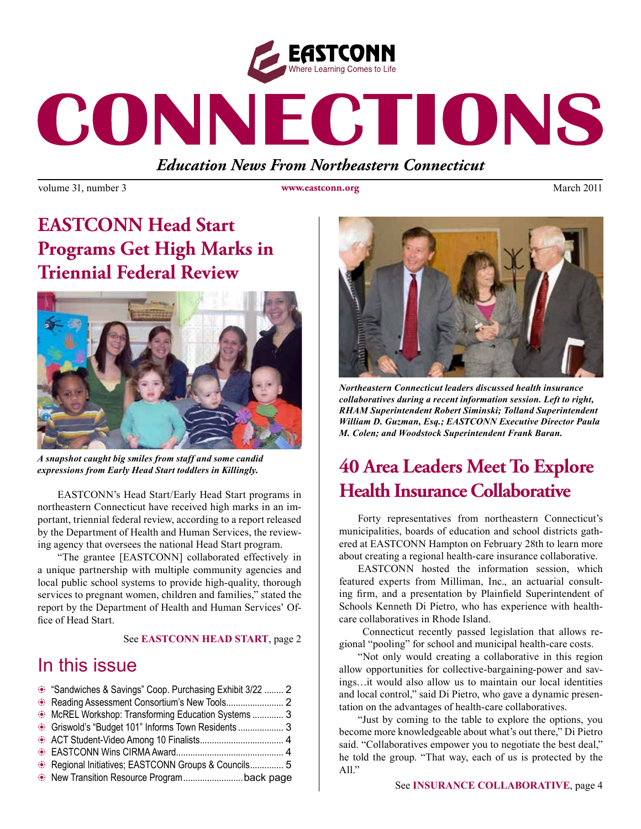

# CONNECTIONS

*Education News From Northeastern Connecticut*

volume 31, number 3 **www.eastconn.org** March 2011

# **EASTCONN Head Start Programs Get High Marks in Triennial Federal Review**



*A snapshot caught big smiles from staff and some candid* 

EASTCONN's Head Start/Early Head Start programs in northeastern Connecticut have received high marks in an important, triennial federal review, according to a report released by the Department of Health and Human Services, the reviewing agency that oversees the national Head Start program.

 "The grantee [EASTCONN] collaborated effectively in a unique partnership with multiple community agencies and local public school systems to provide high-quality, thorough services to pregnant women, children and families," stated the report by the Department of Health and Human Services' Office of Head Start

#### See **EASTCONN HEAD START**, page 2

## In this issue

| • "Sandwiches & Savings" Coop. Purchasing Exhibit 3/22  2      |  |
|----------------------------------------------------------------|--|
|                                                                |  |
| McREL Workshop: Transforming Education Systems  3              |  |
| <sup>5</sup> Griswold's "Budget 101" Informs Town Residents  3 |  |
|                                                                |  |
|                                                                |  |
| Regional Initiatives; EASTCONN Groups & Councils 5             |  |
| New Transition Resource Program back page                      |  |



*Northeastern Connecticut leaders discussed health insurance collaboratives during a recent information session. Left to right, RHAM Superintendent Robert Siminski; Tolland Superintendent William D. Guzman, Esq.; EASTCONN Executive Director Paula M. Colen; and Woodstock Superintendent Frank Baran.* 

# *expressions from Early Head Start toddlers in Killingly.* **40 Area Leaders Meet To Explore Health Insurance Collaborative**

Forty representatives from northeastern Connecticut's municipalities, boards of education and school districts gathered at EASTCONN Hampton on February 28th to learn more about creating a regional health-care insurance collaborative.

EASTCONN hosted the information session, which featured experts from Milliman, Inc., an actuarial consulting frm, and a presentation by Plainfeld Superintendent of Schools Kenneth Di Pietro, who has experience with healthcare collaboratives in Rhode Island.

 Connecticut recently passed legislation that allows regional "pooling" for school and municipal health-care costs.

"Not only would creating a collaborative in this region allow opportunities for collective-bargaining-power and savings…it would also allow us to maintain our local identities and local control," said Di Pietro, who gave a dynamic presentation on the advantages of health-care collaboratives.

"Just by coming to the table to explore the options, you become more knowledgeable about what's out there," Di Pietro said. "Collaboratives empower you to negotiate the best deal," he told the group. "That way, each of us is protected by the All."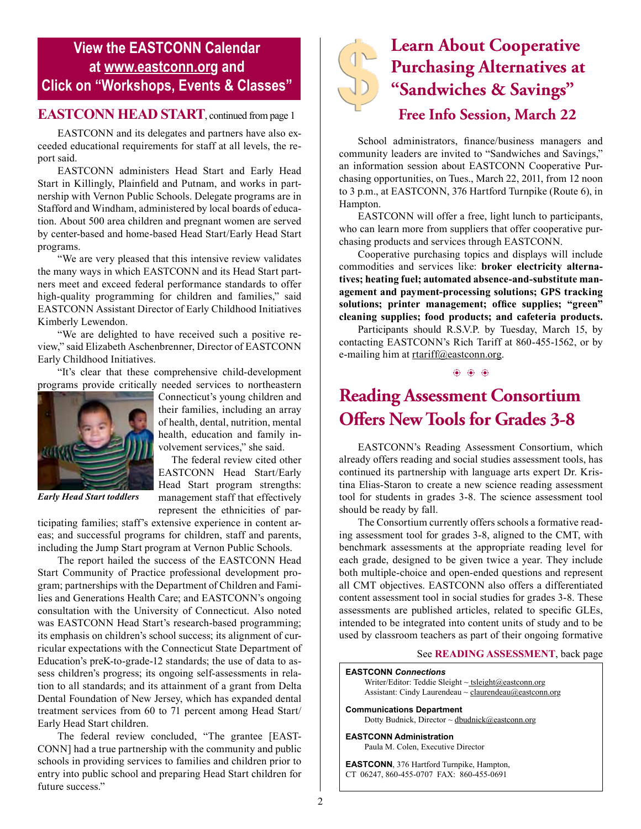### **View the EASTCONN Calendar at <www.eastconn.org> and Click on "Workshops, Events & Classes"**

#### **EASTCONN HEAD START**, continued from page 1

EASTCONN and its delegates and partners have also exceeded educational requirements for staff at all levels, the report said.

EASTCONN administers Head Start and Early Head Start in Killingly, Plainfeld and Putnam, and works in partnership with Vernon Public Schools. Delegate programs are in Stafford and Windham, administered by local boards of education. About 500 area children and pregnant women are served by center-based and home-based Head Start/Early Head Start programs.

"We are very pleased that this intensive review validates the many ways in which EASTCONN and its Head Start partners meet and exceed federal performance standards to offer high-quality programming for children and families," said EASTCONN Assistant Director of Early Childhood Initiatives Kimberly Lewendon.

"We are delighted to have received such a positive review," said Elizabeth Aschenbrenner, Director of EASTCONN Early Childhood Initiatives.

"It's clear that these comprehensive child-development programs provide critically needed services to northeastern



Connecticut's young children and their families, including an array of health, dental, nutrition, mental health, education and family involvement services," she said.

 The federal review cited other EASTCONN Head Start/Early Head Start program strengths: management staff that effectively represent the ethnicities of par-

*Early Head Start toddlers*

ticipating families; staff's extensive experience in content areas; and successful programs for children, staff and parents, including the Jump Start program at Vernon Public Schools.

The report hailed the success of the EASTCONN Head Start Community of Practice professional development program; partnerships with the Department of Children and Families and Generations Health Care; and EASTCONN's ongoing consultation with the University of Connecticut. Also noted was EASTCONN Head Start's research-based programming; its emphasis on children's school success; its alignment of curricular expectations with the Connecticut State Department of Education's preK-to-grade-12 standards; the use of data to assess children's progress; its ongoing self-assessments in relation to all standards; and its attainment of a grant from Delta Dental Foundation of New Jersey, which has expanded dental treatment services from 60 to 71 percent among Head Start/ Early Head Start children.

The federal review concluded, "The grantee [EAST-CONN] had a true partnership with the community and public schools in providing services to families and children prior to entry into public school and preparing Head Start children for future success."



# **Learn About Cooperative Purchasing Alternatives at "Sandwiches & Savings" Free Info Session, March 22**

School administrators, fnance/business managers and community leaders are invited to "Sandwiches and Savings," an information session about EASTCONN Cooperative Purchasing opportunities, on Tues., March 22, 2011, from 12 noon to 3 p.m., at EASTCONN, 376 Hartford Turnpike (Route 6), in Hampton.

EASTCONN will offer a free, light lunch to participants, who can learn more from suppliers that offer cooperative purchasing products and services through EASTCONN.

Cooperative purchasing topics and displays will include commodities and services like: **broker electricity alternatives; heating fuel; automated absence-and-substitute management and payment-processing solutions; GPS tracking**  solutions; printer management; office supplies; "green" **cleaning supplies; food products; and cafeteria products.** 

Participants should R.S.V.P. by Tuesday, March 15, by contacting EASTCONN's Rich Tariff at 860-455-1562, or by e-mailing him at [rtariff@eastconn.org](http://mailto:rtariff@eastconn.org).

 $\circledast$   $\circledast$   $\circledast$ 

## **Reading Assessment Consortium O!ers New Tools for Grades 3-8**

EASTCONN's Reading Assessment Consortium, which already offers reading and social studies assessment tools, has continued its partnership with language arts expert Dr. Kristina Elias-Staron to create a new science reading assessment tool for students in grades 3-8. The science assessment tool should be ready by fall.

The Consortium currently offers schools a formative reading assessment tool for grades 3-8, aligned to the CMT, with benchmark assessments at the appropriate reading level for each grade, designed to be given twice a year. They include both multiple-choice and open-ended questions and represent all CMT objectives. EASTCONN also offers a differentiated content assessment tool in social studies for grades 3-8. These assessments are published articles, related to specifc GLEs, intended to be integrated into content units of study and to be used by classroom teachers as part of their ongoing formative

#### See **READING ASSESSMENT**, back page

**EASTCONN** *Connections*  Writer/Editor: Teddie Sleight  $\sim$  tsleigh[t@eastconn.org](mailto:tsleight@eastconn.org) Assistant: Cindy Laurendeau  $\sim$  claurendeau $@$ eastconn.org **[Communications Department](%20mailto:connections@eastconn.org)** [Dotty Budnick,](mailto:dbudnick@eastconn.org) Director ~ [dbudnick@eastconn.org](http://mailto:dbudnick@eastconn.org) **EASTCONN Administration** Paula M. Colen, Executive Director

**EASTCONN**, 376 Hartford Turnpike, Hampton, CT 06247, 860-455-0707 FAX: 860-455-0691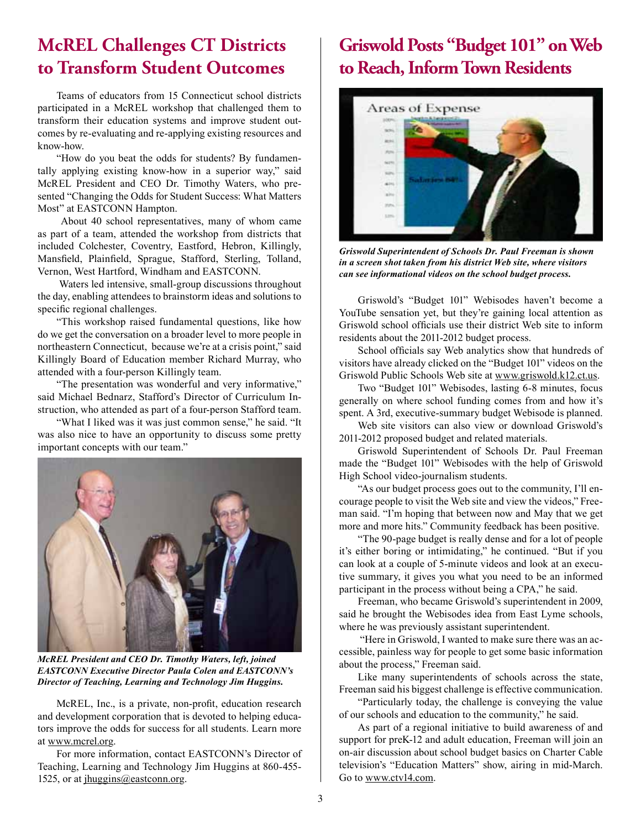## **McREL Challenges CT Districts to Transform Student Outcomes**

Teams of educators from 15 Connecticut school districts participated in a McREL workshop that challenged them to transform their education systems and improve student outcomes by re-evaluating and re-applying existing resources and know-how.

"How do you beat the odds for students? By fundamentally applying existing know-how in a superior way," said McREL President and CEO Dr. Timothy Waters, who presented "Changing the Odds for Student Success: What Matters Most" at EASTCONN Hampton.

 About 40 school representatives, many of whom came as part of a team, attended the workshop from districts that included Colchester, Coventry, Eastford, Hebron, Killingly, Mansfeld, Plainfeld, Sprague, Stafford, Sterling, Tolland, Vernon, West Hartford, Windham and EASTCONN.

 Waters led intensive, small-group discussions throughout the day, enabling attendees to brainstorm ideas and solutions to specifc regional challenges.

"This workshop raised fundamental questions, like how do we get the conversation on a broader level to more people in northeastern Connecticut, because we're at a crisis point," said Killingly Board of Education member Richard Murray, who attended with a four-person Killingly team.

"The presentation was wonderful and very informative," said Michael Bednarz, Stafford's Director of Curriculum Instruction, who attended as part of a four-person Stafford team.

"What I liked was it was just common sense," he said. "It was also nice to have an opportunity to discuss some pretty important concepts with our team."



*McREL President and CEO Dr. Timothy Waters, left, joined EASTCONN Executive Director Paula Colen and EASTCONN's Director of Teaching, Learning and Technology Jim Huggins.*

McREL, Inc., is a private, non-proft, education research and development corporation that is devoted to helping educators improve the odds for success for all students. Learn more at www.mcrel.org.

For more information, contact EASTCONN's Director of Teaching, Learning and Technology Jim Huggins at 860-455- 1525, or at jhuggins@eastconn.org.

# **Griswold Posts "Budget 101" on Web to Reach, Inform Town Residents**



*Griswold Superintendent of Schools Dr. Paul Freeman is shown in a screen shot taken from his district Web site, where visitors can see informational videos on the school budget process.* 

Griswold's "Budget 101" Webisodes haven't become a YouTube sensation yet, but they're gaining local attention as Griswold school offcials use their district Web site to inform residents about the 2011-2012 budget process.

School officials say Web analytics show that hundreds of visitors have already clicked on the "Budget 101" videos on the Griswold Public Schools Web site at www.griswold.k12.ct.us.

Two "Budget 101" Webisodes, lasting 6-8 minutes, focus generally on where school funding comes from and how it's spent. A 3rd, executive-summary budget Webisode is planned.

Web site visitors can also view or download Griswold's 2011-2012 proposed budget and related materials.

Griswold Superintendent of Schools Dr. Paul Freeman made the "Budget 101" Webisodes with the help of Griswold High School video-journalism students.

"As our budget process goes out to the community, I'll encourage people to visit the Web site and view the videos," Freeman said. "I'm hoping that between now and May that we get more and more hits." Community feedback has been positive.

"The 90-page budget is really dense and for a lot of people it's either boring or intimidating," he continued. "But if you can look at a couple of 5-minute videos and look at an executive summary, it gives you what you need to be an informed participant in the process without being a CPA," he said.

Freeman, who became Griswold's superintendent in 2009, said he brought the Webisodes idea from East Lyme schools, where he was previously assistant superintendent.

 "Here in Griswold, I wanted to make sure there was an accessible, painless way for people to get some basic information about the process," Freeman said.

Like many superintendents of schools across the state, Freeman said his biggest challenge is effective communication.

"Particularly today, the challenge is conveying the value of our schools and education to the community," he said.

As part of a regional initiative to build awareness of and support for preK-12 and adult education, Freeman will join an on-air discussion about school budget basics on Charter Cable television's "Education Matters" show, airing in mid-March. Go to www.ctv14.com.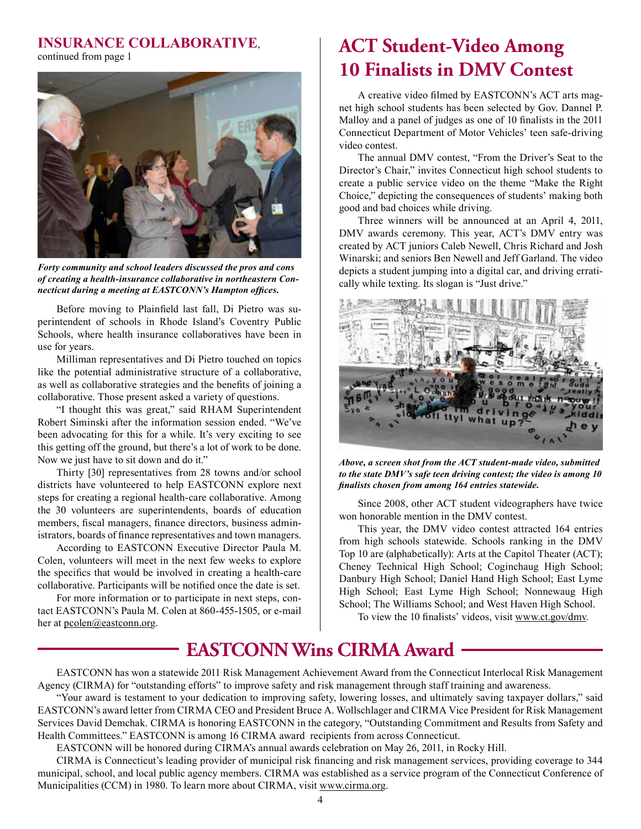#### **INSURANCE COLLABORATIVE**,

continued from page 1



*Forty community and school leaders discussed the pros and cons of creating a health-insurance collaborative in northeastern Connecticut during a meeting at EASTCONN's Hampton offces.* 

Before moving to Plainfeld last fall, Di Pietro was superintendent of schools in Rhode Island's Coventry Public Schools, where health insurance collaboratives have been in use for years.

Milliman representatives and Di Pietro touched on topics like the potential administrative structure of a collaborative, as well as collaborative strategies and the benefts of joining a collaborative. Those present asked a variety of questions.

"I thought this was great," said RHAM Superintendent Robert Siminski after the information session ended. "We've been advocating for this for a while. It's very exciting to see this getting off the ground, but there's a lot of work to be done. Now we just have to sit down and do it."

Thirty [30] representatives from 28 towns and/or school districts have volunteered to help EASTCONN explore next steps for creating a regional health-care collaborative. Among the 30 volunteers are superintendents, boards of education members, fscal managers, fnance directors, business administrators, boards of fnance representatives and town managers.

According to EASTCONN Executive Director Paula M. Colen, volunteers will meet in the next few weeks to explore the specifcs that would be involved in creating a health-care collaborative. Participants will be notifed once the date is set.

For more information or to participate in next steps, contact EASTCONN's Paula M. Colen at 860-455-1505, or e-mail her at pcolen@eastconn.org.

# **ACT Student-Video Among 10 Finalists in DMV Contest**

A creative video flmed by EASTCONN's ACT arts magnet high school students has been selected by Gov. Dannel P. Malloy and a panel of judges as one of 10 fnalists in the 2011 Connecticut Department of Motor Vehicles' teen safe-driving video contest.

The annual DMV contest, "From the Driver's Seat to the Director's Chair," invites Connecticut high school students to create a public service video on the theme "Make the Right Choice," depicting the consequences of students' making both good and bad choices while driving.

Three winners will be announced at an April 4, 2011, DMV awards ceremony. This year, ACT's DMV entry was created by ACT juniors Caleb Newell, Chris Richard and Josh Winarski; and seniors Ben Newell and Jeff Garland. The video depicts a student jumping into a digital car, and driving erratically while texting. Its slogan is "Just drive."



*Above, a screen shot from the ACT student-made video, submitted to the state DMV's safe teen driving contest; the video is among 10 fnalists chosen from among 164 entries statewide.* 

Since 2008, other ACT student videographers have twice won honorable mention in the DMV contest.

This year, the DMV video contest attracted 164 entries from high schools statewide. Schools ranking in the DMV Top 10 are (alphabetically): Arts at the Capitol Theater (ACT); Cheney Technical High School; Coginchaug High School; Danbury High School; Daniel Hand High School; East Lyme High School; East Lyme High School; Nonnewaug High School; The Williams School; and West Haven High School.

To view the 10 fnalists' videos, visit www.ct.gov/dmv.

## **EASTCONN Wins CIRMA Award**

EASTCONN has won a statewide 2011 Risk Management Achievement Award from the Connecticut Interlocal Risk Management Agency (CIRMA) for "outstanding efforts" to improve safety and risk management through staff training and awareness.

"Your award is testament to your dedication to improving safety, lowering losses, and ultimately saving taxpayer dollars," said EASTCONN's award letter from CIRMA CEO and President Bruce A. Wollschlager and CIRMA Vice President for Risk Management Services David Demchak. CIRMA is honoring EASTCONN in the category, "Outstanding Commitment and Results from Safety and Health Committees." EASTCONN is among 16 CIRMA award recipients from across Connecticut.

EASTCONN will be honored during CIRMA's annual awards celebration on May 26, 2011, in Rocky Hill.

CIRMA is Connecticut's leading provider of municipal risk fnancing and risk management services, providing coverage to 344 municipal, school, and local public agency members. CIRMA was established as a service program of the Connecticut Conference of Municipalities (CCM) in 1980. To learn more about CIRMA, visit www.cirma.org.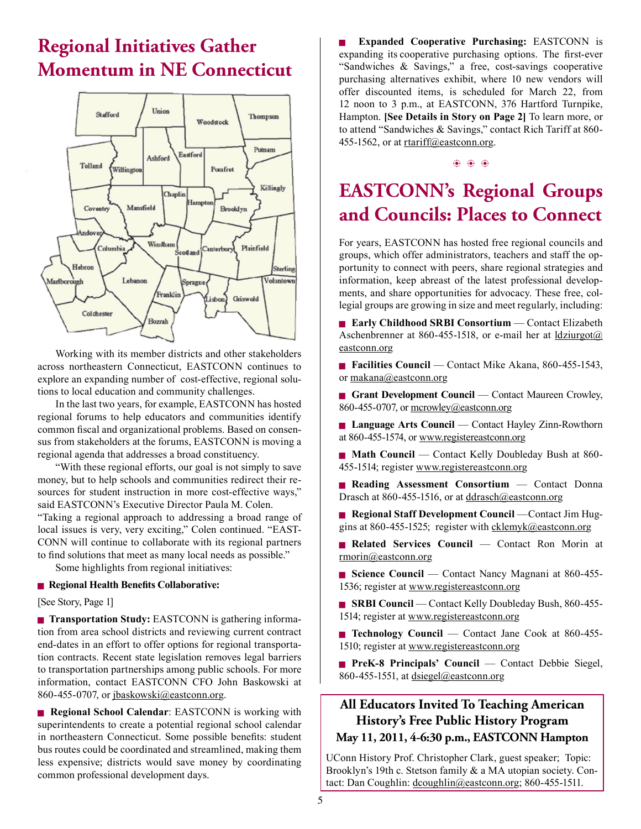# **Regional Initiatives Gather Momentum in NE Connecticut**



Working with its member districts and other stakeholders across northeastern Connecticut, EASTCONN continues to explore an expanding number of cost-effective, regional solutions to local education and community challenges.

In the last two years, for example, EASTCONN has hosted regional forums to help educators and communities identify common fscal and organizational problems. Based on consensus from stakeholders at the forums, EASTCONN is moving a regional agenda that addresses a broad constituency.

"With these regional efforts, our goal is not simply to save money, but to help schools and communities redirect their resources for student instruction in more cost-effective ways," said EASTCONN's Executive Director Paula M. Colen. "Taking a regional approach to addressing a broad range of local issues is very, very exciting," Colen continued. "EAST-CONN will continue to collaborate with its regional partners to fnd solutions that meet as many local needs as possible."

Some highlights from regional initiatives:

#### <sup>g</sup> **Regional Health Benefts Collaborative:**

[See Story, Page 1]

**Transportation Study: EASTCONN** is gathering information from area school districts and reviewing current contract end-dates in an effort to offer options for regional transportation contracts. Recent state legislation removes legal barriers to transportation partnerships among public schools. For more information, contact EASTCONN CFO John Baskowski at 860-455-0707, or [jbaskowski@eastconn.org.](http://mailto:jbaskowski@eastconn.org)

**Regional School Calendar: EASTCONN** is working with superintendents to create a potential regional school calendar in northeastern Connecticut. Some possible benefts: student bus routes could be coordinated and streamlined, making them less expensive; districts would save money by coordinating common professional development days.

<sup>g</sup> **Expanded Cooperative Purchasing:** EASTCONN is expanding its cooperative purchasing options. The frst-ever "Sandwiches & Savings," a free, cost-savings cooperative purchasing alternatives exhibit, where 10 new vendors will offer discounted items, is scheduled for March 22, from 12 noon to 3 p.m., at EASTCONN, 376 Hartford Turnpike, Hampton. **[See Details in Story on Page 2]** To learn more, or to attend "Sandwiches & Savings," contact Rich Tariff at 860- 455-1562, or at retariff@eastconn.org.

 $\circledast$   $\circledast$   $\circledast$ 

# **EASTCONN's Regional Groups and Councils: Places to Connect**

For years, EASTCONN has hosted free regional councils and groups, which offer administrators, teachers and staff the opportunity to connect with peers, share regional strategies and information, keep abreast of the latest professional developments, and share opportunities for advocacy. These free, collegial groups are growing in size and meet regularly, including:

**Early Childhood SRBI Consortium** — Contact Elizabeth Aschenbrenner at 860-455-1518, or e-mail her at  $\frac{1}{dz}$ urgot $\omega$ [eastconn.org](http://mailto:ldziurgot@eastconn.org) 

■ **Facilities Council** — Contact Mike Akana, 860-455-1543, or [makana@eastconn.org](http://mailto:makana@eastconn.org) 

**Grant Development Council** — Contact Maureen Crowley, 860-455-0707, or [mcrowley@eastconn.org](http://mailto:mcrowley@eastconn.org)

**Language Arts Council** — Contact Hayley Zinn-Rowthorn at 860-455-1574, or <www.registereastconn.org>

**Math Council** — Contact Kelly Doubleday Bush at 860-455-1514; registe[r www.registereastconn.org](%20www.registereastconn.org) 

**Reading Assessment Consortium** — Contact Donna Drasch at 860-455-1516, or at [ddrasch@eastconn.org](http://mailto:ddrasch@eastconn.org) 

**Regional Staff Development Council** —Contact Jim Huggins at 860-455-1525; register with [cklemyk@eastconn.org](http://mailto:cklemyk@eastconn.org)

<sup>g</sup> **Related Services Council** — Contact Ron Morin at [rmorin@eastconn.org](http://mailto:rmorin@eastconn.org) 

■ Science Council — Contact Nancy Magnani at 860-455-1536; register at <www.registereastconn.org>

■ **SRBI Council** — Contact Kelly Doubleday Bush, 860-455-1514; register at<www.registereastconn.org>

**Technology Council** — Contact Jane Cook at 860-455-1510; register at<www.registereastconn.org>

**PreK-8 Principals' Council** — Contact Debbie Siegel, 860-455-1551, at dsiegel@eastconn.org

#### **All Educators Invited To Teaching American History's Free Public History Program May 11, 2011, 4-6:30 p.m., EASTCONN Hampton**

UConn History Prof. Christopher Clark, guest speaker; Topic: Brooklyn's 19th c. Stetson family & a MA utopian society. Contact: Dan Coughlin: [dcoughlin@eastconn.org;](http://mailto:dcoughlin@eastconn.org) 860-455-1511.